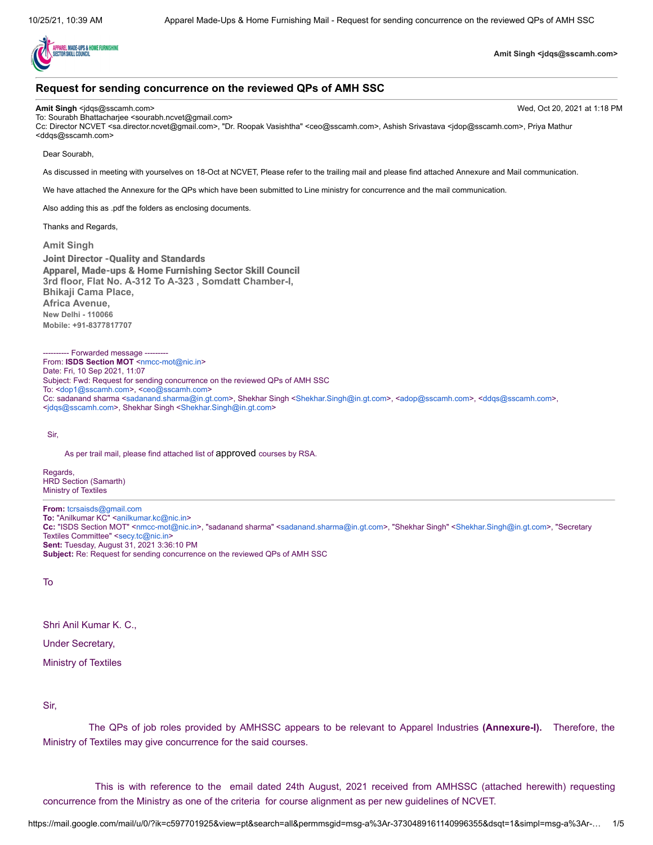

**Amit Singh <jdqs@sscamh.com>**

# **Request for sending concurrence on the reviewed QPs of AMH SSC**

**Amit Singh** <jdqs@sscamh.com> Wed, Oct 20, 2021 at 1:18 PM

To: Sourabh Bhattacharjee <sourabh.ncvet@gmail.com> Cc: Director NCVET <sa.director.ncvet@gmail.com>, "Dr. Roopak Vasishtha" <ceo@sscamh.com>, Ashish Srivastava <jdop@sscamh.com>, Priya Mathur <ddqs@sscamh.com>

Dear Sourabh,

As discussed in meeting with yourselves on 18-Oct at NCVET, Please refer to the trailing mail and please find attached Annexure and Mail communication.

We have attached the Annexure for the QPs which have been submitted to Line ministry for concurrence and the mail communication.

Also adding this as .pdf the folders as enclosing documents.

Thanks and Regards,

**Amit Singh**

Joint Director -Quality and Standards Apparel, Made-ups & Home Furnishing Sector Skill Council **3rd floor, Flat No. A-312 To A-323 , Somdatt Chamber-I, Bhikaji Cama Place, Africa Avenue, New Delhi - 110066 Mobile: +91-8377817707**

--- Forwarded message ----From: **ISDS Section MOT** <[nmcc-mot@nic.in>](mailto:nmcc-mot@nic.in) Date: Fri, 10 Sep 2021, 11:07 Subject: Fwd: Request for sending concurrence on the reviewed QPs of AMH SSC To: <[dop1@sscamh.com>](mailto:dop1@sscamh.com), [<ceo@sscamh.com>](mailto:ceo@sscamh.com) Cc: sadanand sharma [<sadanand.sharma@in.gt.com](mailto:sadanand.sharma@in.gt.com)>, Shekhar Singh <[Shekhar.Singh@in.gt.com](mailto:Shekhar.Singh@in.gt.com)>, [<adop@sscamh.com](mailto:adop@sscamh.com)>, <[ddqs@sscamh.com](mailto:ddqs@sscamh.com)>, <[jdqs@sscamh.com>](mailto:jdqs@sscamh.com), Shekhar Singh <[Shekhar.Singh@in.gt.com>](mailto:Shekhar.Singh@in.gt.com)

Sir,

As per trail mail, please find attached list of approved courses by RSA.

Regards, HRD Section (Samarth) Ministry of Textiles

**From:** [tcrsaisds@gmail.com](mailto:tcrsaisds@gmail.com) **To:** "Anilkumar KC" <[anilkumar.kc@nic.in](mailto:anilkumar.kc@nic.in)> **Cc:** "ISDS Section MOT" <[nmcc-mot@nic.in](mailto:nmcc-mot@nic.in)>, "sadanand sharma" <[sadanand.sharma@in.gt.com>](mailto:sadanand.sharma@in.gt.com), "Shekhar Singh" [<Shekhar.Singh@in.gt.com>](mailto:Shekhar.Singh@in.gt.com), "Secretary Textiles Committee" <[secy.tc@nic.in](mailto:secy.tc@nic.in)> **Sent:** Tuesday, August 31, 2021 3:36:10 PM **Subject:** Re: Request for sending concurrence on the reviewed QPs of AMH SSC

To

Shri Anil Kumar K. C.,

Under Secretary,

Ministry of Textiles

Sir,

The QPs of job roles provided by AMHSSC appears to be relevant to Apparel Industries **(Annexure-I).** Therefore, the Ministry of Textiles may give concurrence for the said courses.

This is with reference to the email dated 24th August, 2021 received from AMHSSC (attached herewith) requesting concurrence from the Ministry as one of the criteria for course alignment as per new guidelines of NCVET.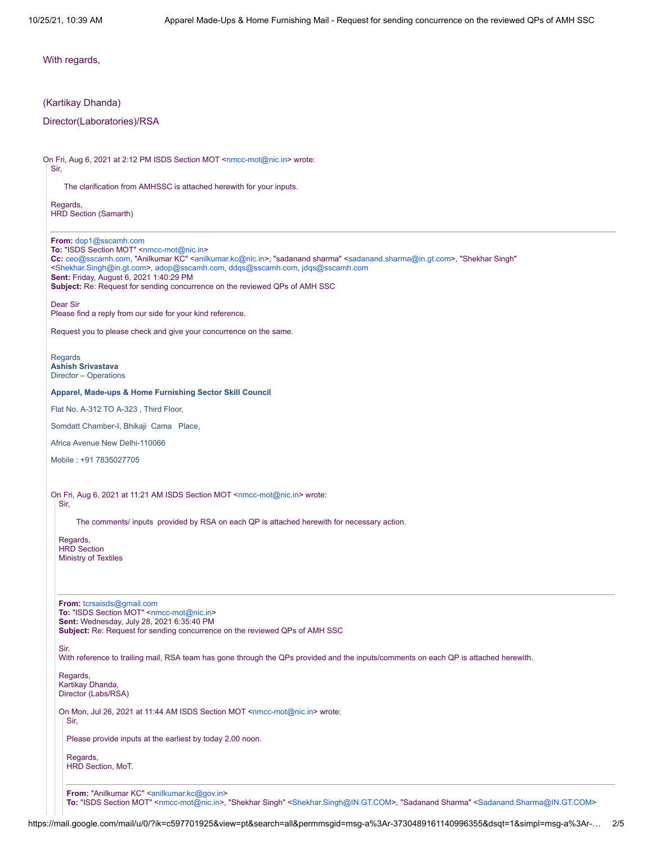With regards,

# (Kartikay Dhanda)

# Director(Laboratories)/RSA

On Fri, Aug 6, 2021 at 2:12 PM ISDS Section MOT <[nmcc-mot@nic.in](mailto:nmcc-mot@nic.in)> wrote: Sir,

The clarification from AMHSSC is attached herewith for your inputs.

Regards, HRD Section (Samarth)

**From:** [dop1@sscamh.com](mailto:dop1@sscamh.com)

To: "ISDS Section MOT" [<nmcc-mot@nic.in](mailto:nmcc-mot@nic.in)> **Cc:** [ceo@sscamh.com](mailto:ceo@sscamh.com), "Anilkumar KC" <[anilkumar.kc@nic.in](mailto:anilkumar.kc@nic.in)>, "sadanand sharma" <[sadanand.sharma@in.gt.com>](mailto:sadanand.sharma@in.gt.com), "Shekhar Singh" [<Shekhar.Singh@in.gt.com](mailto:Shekhar.Singh@in.gt.com)>, [adop@sscamh.com](mailto:adop@sscamh.com), [ddqs@sscamh.com](mailto:ddqs@sscamh.com), [jdqs@sscamh.com](mailto:jdqs@sscamh.com) **Sent:** Friday, August 6, 2021 1:40:29 PM **Subject:** Re: Request for sending concurrence on the reviewed QPs of AMH SSC Dear Sir Please find a reply from our side for your kind reference. Request you to please check and give your concurrence on the same. Regards **Ashish Srivastava** Director – Operations **Apparel, Made-ups & Home Furnishing Sector Skill Council** Flat No. A-312 TO A-323 , Third Floor, Somdatt Chamber-I, Bhikaji Cama Place, Africa Avenue New Delhi-110066 Mobile : +91 7835027705 On Fri, Aug 6, 2021 at 11:21 AM ISDS Section MOT [<nmcc-mot@nic.in>](mailto:nmcc-mot@nic.in) wrote: Sir, The comments/ inputs provided by RSA on each QP is attached herewith for necessary action. Regards, HRD Section Ministry of Textiles **From:** [tcrsaisds@gmail.com](mailto:tcrsaisds@gmail.com) To: "ISDS Section MOT" [<nmcc-mot@nic.in>](mailto:nmcc-mot@nic.in) **Sent:** Wednesday, July 28, 2021 6:35:40 PM **Subject:** Re: Request for sending concurrence on the reviewed QPs of AMH SSC Sir, With reference to trailing mail, RSA team has gone through the QPs provided and the inputs/comments on each QP is attached herewith. Regards, Kartikay Dhanda, Director (Labs/RSA) On Mon, Jul 26, 2021 at 11:44 AM ISDS Section MOT <[nmcc-mot@nic.in>](mailto:nmcc-mot@nic.in) wrote: Sir,

Please provide inputs at the earliest by today 2.00 noon.

Regards, HRD Section, MoT.

From: "Anilkumar KC" <[anilkumar.kc@gov.in](mailto:anilkumar.kc@gov.in)> **To:** "ISDS Section MOT" <[nmcc-mot@nic.in>](mailto:nmcc-mot@nic.in), "Shekhar Singh" <[Shekhar.Singh@IN.GT.COM](mailto:Shekhar.Singh@IN.GT.COM)>, "Sadanand Sharma" [<Sadanand.Sharma@IN.GT.COM](mailto:Sadanand.Sharma@IN.GT.COM)>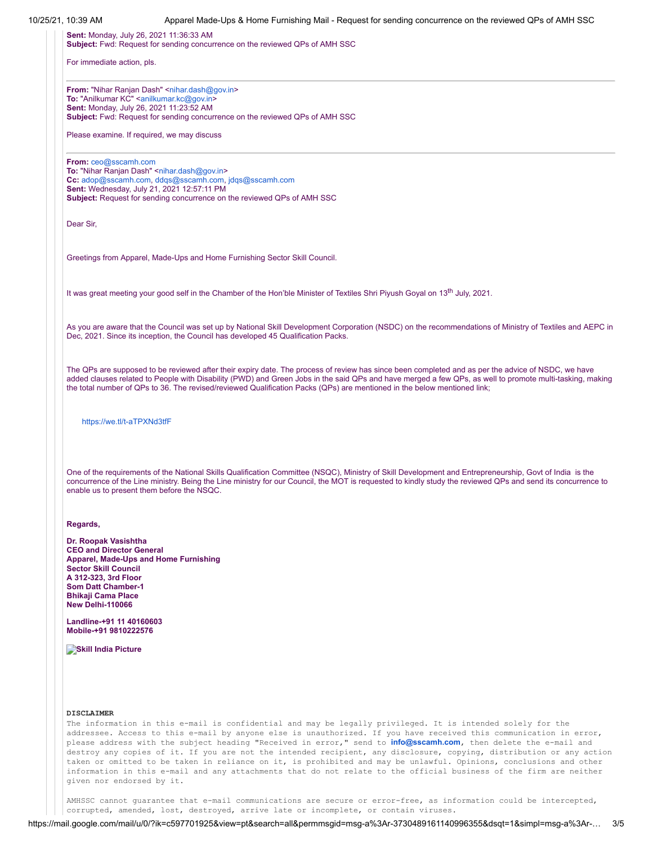**Sent:** Monday, July 26, 2021 11:36:33 AM **Subject:** Fwd: Request for sending concurrence on the reviewed QPs of AMH SSC

For immediate action, pls.

**From: "Nihar Ranjan Dash" <[nihar.dash@gov.in](mailto:nihar.dash@gov.in)> To:** "Anilkumar KC" <[anilkumar.kc@gov.in](mailto:anilkumar.kc@gov.in)> **Sent:** Monday, July 26, 2021 11:23:52 AM **Subject:** Fwd: Request for sending concurrence on the reviewed QPs of AMH SSC

Please examine. If required, we may discuss

**From:** [ceo@sscamh.com](mailto:ceo@sscamh.com) To: "Nihar Ranjan Dash" [<nihar.dash@gov.in](mailto:nihar.dash@gov.in)> **Cc:** [adop@sscamh.com](mailto:adop@sscamh.com), [ddqs@sscamh.com](mailto:ddqs@sscamh.com), [jdqs@sscamh.com](mailto:jdqs@sscamh.com) **Sent:** Wednesday, July 21, 2021 12:57:11 PM **Subject:** Request for sending concurrence on the reviewed QPs of AMH SSC

Dear Sir,

Greetings from Apparel, Made-Ups and Home Furnishing Sector Skill Council.

It was great meeting your good self in the Chamber of the Hon'ble Minister of Textiles Shri Piyush Goyal on 13<sup>th</sup> July, 2021.

As you are aware that the Council was set up by National Skill Development Corporation (NSDC) on the recommendations of Ministry of Textiles and AEPC in Dec, 2021. Since its inception, the Council has developed 45 Qualification Packs.

The QPs are supposed to be reviewed after their expiry date. The process of review has since been completed and as per the advice of NSDC, we have added clauses related to People with Disability (PWD) and Green Jobs in the said QPs and have merged a few QPs, as well to promote multi-tasking, making the total number of QPs to 36. The revised/reviewed Qualification Packs (QPs) are mentioned in the below mentioned link;

<https://we.tl/t-aTPXNd3tfF>

One of the requirements of the National Skills Qualification Committee (NSQC), Ministry of Skill Development and Entrepreneurship, Govt of India is the concurrence of the Line ministry. Being the Line ministry for our Council, the MOT is requested to kindly study the reviewed QPs and send its concurrence to enable us to present them before the NSQC.

# **Regards,**

**Dr. Roopak Vasishtha CEO and Director General Apparel, Made-Ups and Home Furnishing Sector Skill Council A 312-323, 3rd Floor Som Datt Chamber-1 Bhikaji Cama Place New Delhi-110066**

**Landline-+91 11 40160603 Mobile-+91 9810222576**

**Skill India Picture** 

## **DISCLAIMER**

The information in this e-mail is confidential and may be legally privileged. It is intended solely for the addressee. Access to this e-mail by anyone else is unauthorized. If you have received this communication in error, please address with the subject heading "Received in error," send to **[info@sscamh.com](mailto:info@sscamh.com)**, then delete the e-mail and destroy any copies of it. If you are not the intended recipient, any disclosure, copying, distribution or any action taken or omitted to be taken in reliance on it, is prohibited and may be unlawful. Opinions, conclusions and other information in this e-mail and any attachments that do not relate to the official business of the firm are neither given nor endorsed by it.

AMHSSC cannot guarantee that e-mail communications are secure or error-free, as information could be intercepted, corrupted, amended, lost, destroyed, arrive late or incomplete, or contain viruses.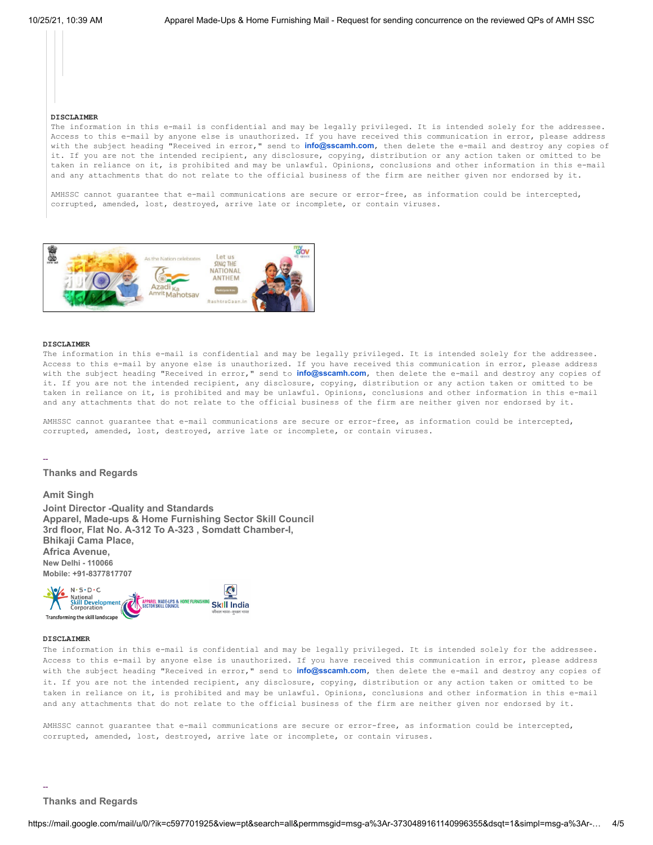#### **DISCLAIMER**

The information in this e-mail is confidential and may be legally privileged. It is intended solely for the addressee. Access to this e-mail by anyone else is unauthorized. If you have received this communication in error, please address with the subject heading "Received in error," send to **[info@sscamh.com](mailto:info@sscamh.com)**, then delete the e-mail and destroy any copies of it. If you are not the intended recipient, any disclosure, copying, distribution or any action taken or omitted to be taken in reliance on it, is prohibited and may be unlawful. Opinions, conclusions and other information in this e-mail and any attachments that do not relate to the official business of the firm are neither given nor endorsed by it.

AMHSSC cannot guarantee that e-mail communications are secure or error-free, as information could be intercepted, corrupted, amended, lost, destroyed, arrive late or incomplete, or contain viruses.



### **DISCLAIMER**

--

The information in this e-mail is confidential and may be legally privileged. It is intended solely for the addressee. Access to this e-mail by anyone else is unauthorized. If you have received this communication in error, please address with the subject heading "Received in error," send to **[info@sscamh.com](mailto:info@sscamh.com)**, then delete the e-mail and destroy any copies of it. If you are not the intended recipient, any disclosure, copying, distribution or any action taken or omitted to be taken in reliance on it, is prohibited and may be unlawful. Opinions, conclusions and other information in this e-mail and any attachments that do not relate to the official business of the firm are neither given nor endorsed by it.

AMHSSC cannot guarantee that e-mail communications are secure or error-free, as information could be intercepted, corrupted, amended, lost, destroyed, arrive late or incomplete, or contain viruses.

## **Thanks and Regards**

**Amit Singh Joint Director -Quality and Standards Apparel, Made-ups & Home Furnishing Sector Skill Council 3rd floor, Flat No. A-312 To A-323 , Somdatt Chamber-I, Bhikaji Cama Place, Africa Avenue, New Delhi - 110066 Mobile: +91-8377817707**

 $N \cdot S \cdot D \cdot C$ Ø National<br>Skill Development **PAREL MADE-UPS & HOME FURNISH Skill India** Transforming the skill landscape

#### **DISCLAIMER**

The information in this e-mail is confidential and may be legally privileged. It is intended solely for the addressee. Access to this e-mail by anyone else is unauthorized. If you have received this communication in error, please address with the subject heading "Received in error," send to **[info@sscamh.com](mailto:info@sscamh.com)**, then delete the e-mail and destroy any copies of it. If you are not the intended recipient, any disclosure, copying, distribution or any action taken or omitted to be taken in reliance on it, is prohibited and may be unlawful. Opinions, conclusions and other information in this e-mail and any attachments that do not relate to the official business of the firm are neither given nor endorsed by it.

AMHSSC cannot guarantee that e-mail communications are secure or error-free, as information could be intercepted, corrupted, amended, lost, destroyed, arrive late or incomplete, or contain viruses.